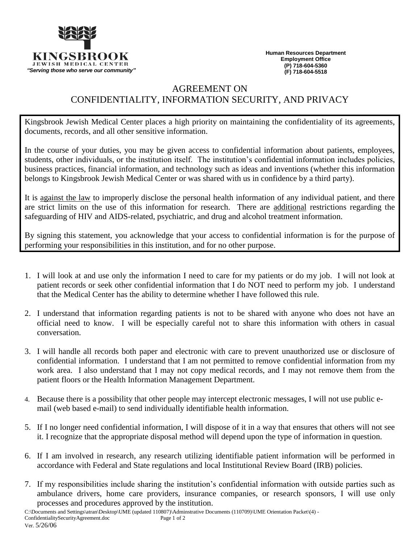

**Human Resources Department Employment Office (P) 718-604-5360 (F) 718-604-5518**

## AGREEMENT ON

## CONFIDENTIALITY, INFORMATION SECURITY, AND PRIVACY

Kingsbrook Jewish Medical Center places a high priority on maintaining the confidentiality of its agreements, documents, records, and all other sensitive information.

In the course of your duties, you may be given access to confidential information about patients, employees, students, other individuals, or the institution itself. The institution's confidential information includes policies, business practices, financial information, and technology such as ideas and inventions (whether this information belongs to Kingsbrook Jewish Medical Center or was shared with us in confidence by a third party).

It is against the law to improperly disclose the personal health information of any individual patient, and there are strict limits on the use of this information for research. There are additional restrictions regarding the safeguarding of HIV and AIDS-related, psychiatric, and drug and alcohol treatment information.

By signing this statement, you acknowledge that your access to confidential information is for the purpose of performing your responsibilities in this institution, and for no other purpose.

- 1. I will look at and use only the information I need to care for my patients or do my job. I will not look at patient records or seek other confidential information that I do NOT need to perform my job. I understand that the Medical Center has the ability to determine whether I have followed this rule.
- 2. I understand that information regarding patients is not to be shared with anyone who does not have an official need to know. I will be especially careful not to share this information with others in casual conversation.
- 3. I will handle all records both paper and electronic with care to prevent unauthorized use or disclosure of confidential information. I understand that I am not permitted to remove confidential information from my work area. I also understand that I may not copy medical records, and I may not remove them from the patient floors or the Health Information Management Department.
- 4. Because there is a possibility that other people may intercept electronic messages, I will not use public email (web based e-mail) to send individually identifiable health information.
- 5. If I no longer need confidential information, I will dispose of it in a way that ensures that others will not see it. I recognize that the appropriate disposal method will depend upon the type of information in question.
- 6. If I am involved in research, any research utilizing identifiable patient information will be performed in accordance with Federal and State regulations and local Institutional Review Board (IRB) policies.
- 7. If my responsibilities include sharing the institution's confidential information with outside parties such as ambulance drivers, home care providers, insurance companies, or research sponsors, I will use only processes and procedures approved by the institution.